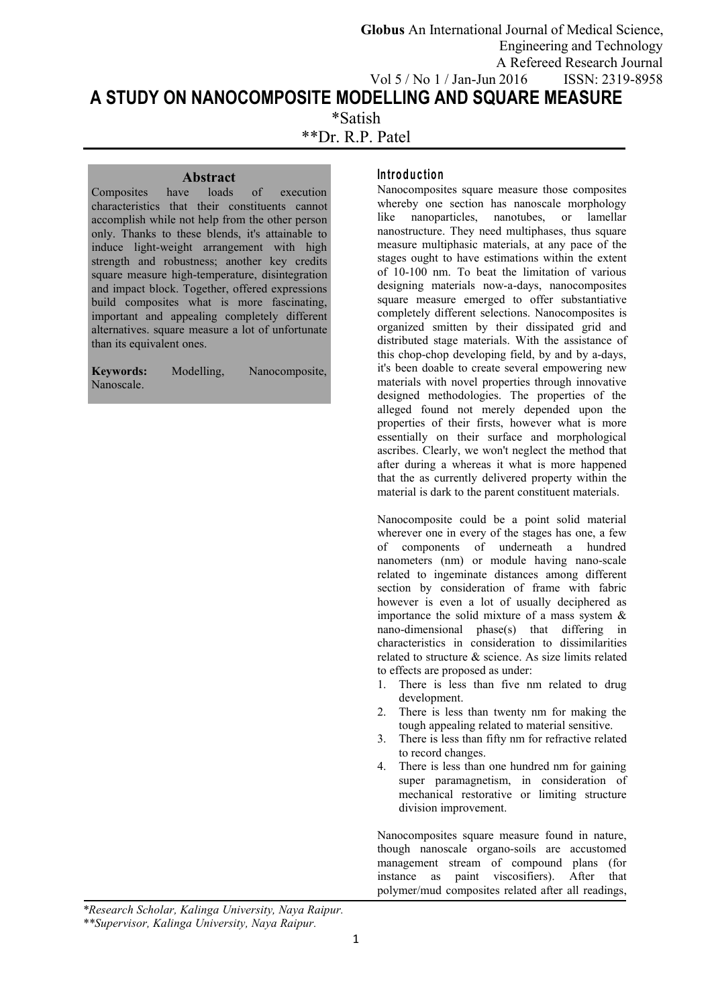**A STUDY ON NANOCOMPOSITE MODELLING AND SQUARE MEASURE** \*Satish **Globus** An International Journal of Medical Science, Engineering and Technology A Refereed Research Journal Vol 5 / No 1 / Jan-Jun 2016 ISSN: 2319-8958

\*\*Dr. R.P. Patel

**Abstract**<br>have loads of execution Composites characteristics that their constituents cannot accomplish while not help from the other person only. Thanks to these blends, it's attainable to induce light-weight arrangement with high strength and robustness; another key credits square measure high-temperature, disintegration and impact block. Together, offered expressions build composites what is more fascinating, important and appealing completely different alternatives. square measure a lot of unfortunate than its equivalent ones.

**Keywords:** Modelling, Nanocomposite, Nanoscale.

## **In tro d u c tio n**

Nanocomposites square measure those composites whereby one section has nanoscale morphology like nanoparticles, nanotubes, or lamellar nanostructure. They need multiphases, thus square measure multiphasic materials, at any pace of the stages ought to have estimations within the extent of 10-100 nm. To beat the limitation of various designing materials now-a-days, nanocomposites square measure emerged to offer substantiative completely different selections. Nanocomposites is organized smitten by their dissipated grid and distributed stage materials. With the assistance of this chop-chop developing field, by and by a-days, it's been doable to create several empowering new materials with novel properties through innovative designed methodologies. The properties of the alleged found not merely depended upon the properties of their firsts, however what is more essentially on their surface and morphological ascribes. Clearly, we won't neglect the method that after during a whereas it what is more happened that the as currently delivered property within the material is dark to the parent constituent materials.

Nanocomposite could be a point solid material wherever one in every of the stages has one, a few of components of underneath a hundred nanometers (nm) or module having nano-scale related to ingeminate distances among different section by consideration of frame with fabric however is even a lot of usually deciphered as importance the solid mixture of a mass system & nano-dimensional phase(s) that differing in characteristics in consideration to dissimilarities related to structure & science. As size limits related to effects are proposed as under:

- 1. There is less than five nm related to drug development.
- 2. There is less than twenty nm for making the tough appealing related to material sensitive.
- 3. There is less than fifty nm for refractive related to record changes.
- 4. There is less than one hundred nm for gaining super paramagnetism, in consideration of mechanical restorative or limiting structure division improvement.

Nanocomposites square measure found in nature, though nanoscale organo-soils are accustomed management stream of compound plans (for instance as paint viscosifiers). After that polymer/mud composites related after all readings,

*\*Research Scholar, Kalinga University,Naya Raipur. \*\*Supervisor, Kalinga University,Naya Raipur.*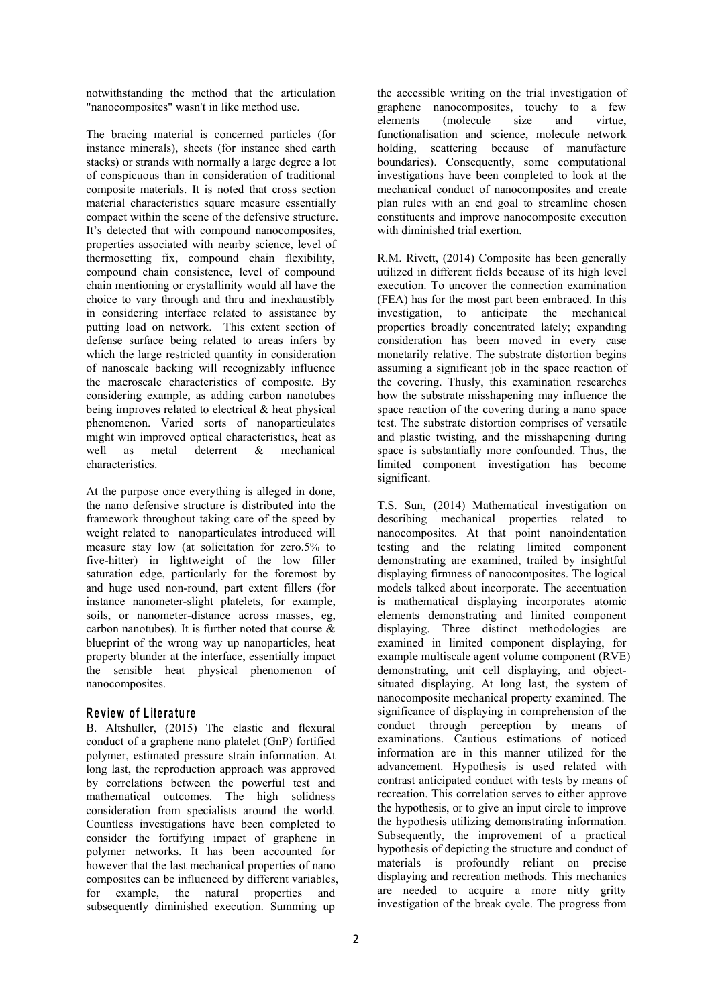notwithstanding the method that the articulation "nanocomposites" wasn't in like method use.

The bracing material is concerned particles (for instance minerals), sheets (for instance shed earth stacks) or strands with normally a large degree a lot of conspicuous than in consideration of traditional composite materials. It is noted that cross section material characteristics square measure essentially compact within the scene of the defensive structure. It's detected that with compound nanocomposites, properties associated with nearby science, level of thermosetting fix, compound chain flexibility, compound chain consistence, level of compound chain mentioning or crystallinity would all have the choice to vary through and thru and inexhaustibly in considering interface related to assistance by putting load on network. This extent section of defense surface being related to areas infers by which the large restricted quantity in consideration of nanoscale backing will recognizably influence the macroscale characteristics of composite. By considering example, as adding carbon nanotubes being improves related to electrical & heat physical phenomenon. Varied sorts of nanoparticulates might win improved optical characteristics, heat as well as metal deterrent & mechanical space is substantially more confounded. Thus, the characteristics.

At the purpose once everything is alleged in done, the nano defensive structure is distributed into the framework throughout taking care of the speed by weight related to nanoparticulates introduced will measure stay low (at solicitation for zero.5% to five-hitter) in lightweight of the low filler saturation edge, particularly for the foremost by and huge used non-round, part extent fillers (for instance nanometer-slight platelets, for example, soils, or nanometer-distance across masses, eg, carbon nanotubes). It is further noted that course & blueprint of the wrong way up nanoparticles, heat property blunder at the interface, essentially impact the sensible heat physical phenomenon of nanocomposites.

## **R e v iew o f L ite ra tu re**

B. Altshuller, (2015) The elastic and flexural conduct of a graphene nano platelet (GnP) fortified polymer, estimated pressure strain information. At long last, the reproduction approach was approved by correlations between the powerful test and mathematical outcomes. The high solidness consideration from specialists around the world. Countless investigations have been completed to consider the fortifying impact of graphene in polymer networks. It has been accounted for however that the last mechanical properties of nano composites can be influenced by different variables, for example, the natural properties and subsequently diminished execution. Summing up

the accessible writing on the trial investigation of graphene nanocomposites, touchy to a few elements (molecule size and virtue, functionalisation and science, molecule network holding, scattering because of manufacture boundaries). Consequently, some computational investigations have been completed to look at the mechanical conduct of nanocomposites and create plan rules with an end goal to streamline chosen constituents and improve nanocomposite execution with diminished trial exertion.

R.M. Rivett, (2014) Composite has been generally utilized in different fields because of its high level execution. To uncover the connection examination (FEA) has for the most part been embraced. In this investigation, to anticipate the mechanical properties broadly concentrated lately; expanding consideration has been moved in every case monetarily relative. The substrate distortion begins assuming a significant job in the space reaction of the covering. Thusly, this examination researches how the substrate misshapening may influence the space reaction of the covering during a nano space test. The substrate distortion comprises of versatile and plastic twisting, and the misshapening during limited component investigation has become significant.

T.S. Sun, (2014) Mathematical investigation on describing mechanical properties related to nanocomposites. At that point nanoindentation testing and the relating limited component demonstrating are examined, trailed by insightful displaying firmness of nanocomposites. The logical models talked about incorporate. The accentuation is mathematical displaying incorporates atomic elements demonstrating and limited component displaying. Three distinct methodologies are examined in limited component displaying, for example multiscale agent volume component (RVE) demonstrating, unit cell displaying, and object situated displaying. At long last, the system of nanocomposite mechanical property examined. The significance of displaying in comprehension of the conduct through perception by means of examinations. Cautious estimations of noticed information are in this manner utilized for the advancement. Hypothesis is used related with contrast anticipated conduct with tests by means of recreation. This correlation serves to either approve the hypothesis, or to give an input circle to improve the hypothesis utilizing demonstrating information. Subsequently, the improvement of a practical hypothesis of depicting the structure and conduct of materials is profoundly reliant on precise displaying and recreation methods. This mechanics are needed to acquire a more nitty gritty investigation of the break cycle. The progress from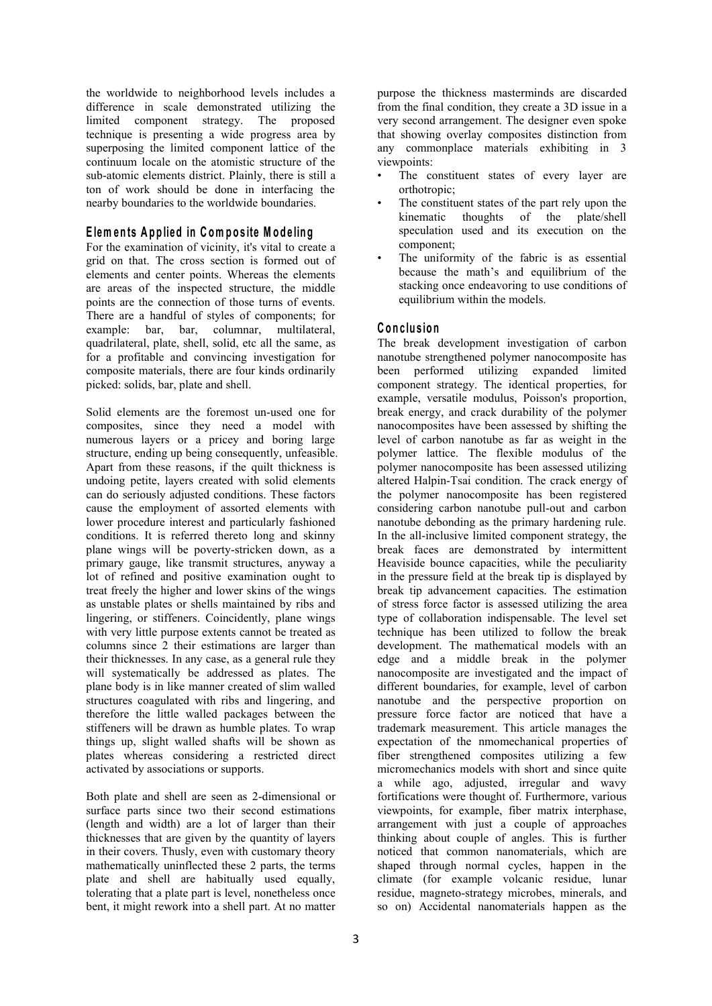the worldwide to neighborhood levels includes a difference in scale demonstrated utilizing the limited component strategy. The proposed technique is presenting a wide progress area by superposing the limited component lattice of the continuum locale on the atomistic structure of the sub-atomic elements district. Plainly, there is still a ton of work should be done in interfacing the nearby boundaries to the worldwide boundaries.

# **E lem en ts A p p lied in C om po s ite M o d e lin g**

For the examination of vicinity, it's vital to create a grid on that. The cross section is formed out of elements and center points. Whereas the elements are areas of the inspected structure, the middle points are the connection of those turns of events. There are a handful of styles of components; for example: bar. bar. columnar. multilateral. example: bar, bar, columnar, multilateral, quadrilateral, plate, shell, solid, etc all the same, as for a profitable and convincing investigation for composite materials, there are four kinds ordinarily picked: solids, bar, plate and shell.

Solid elements are the foremost un-used one for composites, since they need a model with numerous layers or a pricey and boring large structure, ending up being consequently, unfeasible. Apart from these reasons, if the quilt thickness is undoing petite, layers created with solid elements can do seriously adjusted conditions.These factors cause the employment of assorted elements with lower procedure interest and particularly fashioned conditions. It is referred thereto long and skinny plane wings will be poverty-stricken down, as a primary gauge, like transmit structures, anyway a lot of refined and positive examination ought to treat freely the higher and lower skins of the wings as unstable plates or shells maintained by ribs and lingering, or stiffeners. Coincidently, plane wings with very little purpose extents cannot be treated as columns since 2 their estimations are larger than their thicknesses. In any case, as a general rule they will systematically be addressed as plates. The plane body is in like manner created of slim walled structures coagulated with ribs and lingering, and therefore the little walled packages between the stiffeners will be drawn as humble plates. To wrap things up, slight walled shafts will be shown as plates whereas considering a restricted direct activated by associations or supports.

Both plate and shell are seen as 2-dimensional or surface parts since two their second estimations (length and width) are a lot of larger than their thicknesses that are given by the quantity of layers in their covers. Thusly, even with customary theory mathematically uninflected these 2 parts, the terms plate and shell are habitually used equally, tolerating that a plate part is level, nonetheless once bent, it might rework into a shell part. At no matter purpose the thickness masterminds are discarded from the final condition, they create a 3D issue in a very second arrangement. The designer even spoke that showing overlay composites distinction from any commonplace materials exhibiting in 3 viewpoints:

- The constituent states of every layer are orthotropic;
- The constituent states of the part rely upon the kinematic thoughts of the plate/shell speculation used and its execution on the component;
- The uniformity of the fabric is as essential because the math's and equilibrium of the stacking once endeavoring to use conditions of equilibrium within the models.

# **C o n c lu s io n**

The break development investigation of carbon nanotube strengthened polymer nanocomposite has been performed utilizing expanded limited component strategy. The identical properties, for example, versatile modulus, Poisson's proportion, break energy, and crack durability of the polymer nanocomposites have been assessed by shifting the level of carbon nanotube as far as weight in the polymer lattice. The flexible modulus of the polymer nanocomposite has been assessed utilizing altered Halpin-Tsai condition. The crack energy of the polymer nanocomposite has been registered considering carbon nanotube pull-out and carbon nanotube debonding as the primary hardening rule. In the all-inclusive limited component strategy, the break faces are demonstrated by intermittent Heaviside bounce capacities, while the peculiarity in the pressure field at the break tip is displayed by break tip advancement capacities. The estimation of stress force factor is assessed utilizing the area type of collaboration indispensable. The level set technique has been utilized to follow the break development. The mathematical models with an edge and a middle break in the polymer nanocomposite are investigated and the impact of different boundaries, for example, level of carbon nanotube and the perspective proportion on pressure force factor are noticed that have a trademark measurement. This article manages the expectation of the nmomechanical properties of fiber strengthened composites utilizing a few micromechanics models with short and since quite a while ago, adjusted, irregular and wavy fortifications were thought of. Furthermore, various viewpoints, for example, fiber matrix interphase, arrangement with just a couple of approaches thinking about couple of angles. This is further noticed that common nanomaterials, which are shaped through normal cycles, happen in the climate (for example volcanic residue, lunar residue, magneto-strategy microbes, minerals, and so on) Accidental nanomaterials happen as the